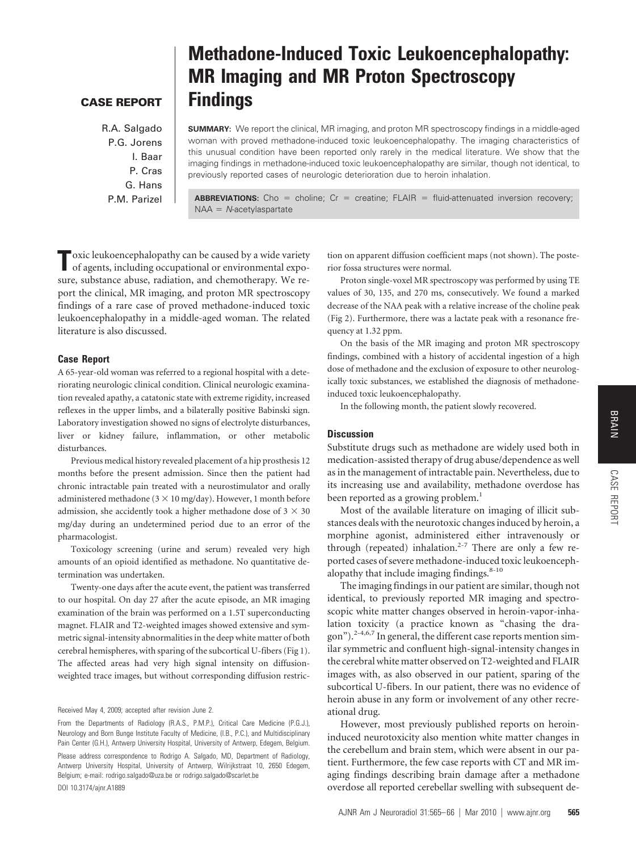## **CASE REPORT**

R.A. Salgado P.G. Jorens I. Baar P. Cras G. Hans P.M. Parizel

# **Methadone-Induced Toxic Leukoencephalopathy: MR Imaging and MR Proton Spectroscopy Findings**

**SUMMARY:** We report the clinical, MR imaging, and proton MR spectroscopy findings in a middle-aged woman with proved methadone-induced toxic leukoencephalopathy. The imaging characteristics of this unusual condition have been reported only rarely in the medical literature. We show that the imaging findings in methadone-induced toxic leukoencephalopathy are similar, though not identical, to previously reported cases of neurologic deterioration due to heroin inhalation.

**ABBREVIATIONS:** Cho = choline; Cr = creatine; FLAIR = fluid-attenuated inversion recovery; NAA = N-acetylaspartate

**T**oxic leukoencephalopathy can be caused by a wide variety of agents, including occupational or environmental exposure, substance abuse, radiation, and chemotherapy. We report the clinical, MR imaging, and proton MR spectroscopy findings of a rare case of proved methadone-induced toxic leukoencephalopathy in a middle-aged woman. The related literature is also discussed.

## **Case Report**

A 65-year-old woman was referred to a regional hospital with a deteriorating neurologic clinical condition. Clinical neurologic examination revealed apathy, a catatonic state with extreme rigidity, increased reflexes in the upper limbs, and a bilaterally positive Babinski sign. Laboratory investigation showed no signs of electrolyte disturbances, liver or kidney failure, inflammation, or other metabolic disturbances.

Previous medical history revealed placement of a hip prosthesis 12 months before the present admission. Since then the patient had chronic intractable pain treated with a neurostimulator and orally administered methadone ( $3 \times 10$  mg/day). However, 1 month before admission, she accidently took a higher methadone dose of  $3 \times 30$ mg/day during an undetermined period due to an error of the pharmacologist.

Toxicology screening (urine and serum) revealed very high amounts of an opioid identified as methadone. No quantitative determination was undertaken.

Twenty-one days after the acute event, the patient was transferred to our hospital. On day 27 after the acute episode, an MR imaging examination of the brain was performed on a 1.5T superconducting magnet. FLAIR and T2-weighted images showed extensive and symmetric signal-intensity abnormalities in the deep white matter of both cerebral hemispheres, with sparing of the subcortical U-fibers (Fig 1). The affected areas had very high signal intensity on diffusionweighted trace images, but without corresponding diffusion restriction on apparent diffusion coefficient maps (not shown). The posterior fossa structures were normal.

Proton single-voxel MR spectroscopy was performed by using TE values of 30, 135, and 270 ms, consecutively. We found a marked decrease of the NAA peak with a relative increase of the choline peak (Fig 2). Furthermore, there was a lactate peak with a resonance frequency at 1.32 ppm.

On the basis of the MR imaging and proton MR spectroscopy findings, combined with a history of accidental ingestion of a high dose of methadone and the exclusion of exposure to other neurologically toxic substances, we established the diagnosis of methadoneinduced toxic leukoencephalopathy.

In the following month, the patient slowly recovered.

### **Discussion**

Substitute drugs such as methadone are widely used both in medication-assisted therapy of drug abuse/dependence as well as in the management of intractable pain. Nevertheless, due to its increasing use and availability, methadone overdose has been reported as a growing problem.<sup>1</sup>

Most of the available literature on imaging of illicit substances deals with the neurotoxic changes induced by heroin, a morphine agonist, administered either intravenously or through (repeated) inhalation.<sup>2-7</sup> There are only a few reported cases of severe methadone-induced toxic leukoencephalopathy that include imaging findings. $8-10$ 

The imaging findings in our patient are similar, though not identical, to previously reported MR imaging and spectroscopic white matter changes observed in heroin-vapor-inhalation toxicity (a practice known as "chasing the dragon").<sup>2-4,6,7</sup> In general, the different case reports mention similar symmetric and confluent high-signal-intensity changes in the cerebral white matter observed on T2-weighted and FLAIR images with, as also observed in our patient, sparing of the subcortical U-fibers. In our patient, there was no evidence of heroin abuse in any form or involvement of any other recreational drug.

However, most previously published reports on heroininduced neurotoxicity also mention white matter changes in the cerebellum and brain stem, which were absent in our patient. Furthermore, the few case reports with CT and MR imaging findings describing brain damage after a methadone overdose all reported cerebellar swelling with subsequent de-

Received May 4, 2009; accepted after revision June 2.

From the Departments of Radiology (R.A.S., P.M.P.), Critical Care Medicine (P.G.J.), Neurology and Born Bunge Institute Faculty of Medicine, (I.B., P.C.), and Multidisciplinary Pain Center (G.H.), Antwerp University Hospital, University of Antwerp, Edegem, Belgium. Please address correspondence to Rodrigo A. Salgado, MD, Department of Radiology, Antwerp University Hospital, University of Antwerp, Wilrijkstraat 10, 2650 Edegem, Belgium; e-mail: rodrigo.salgado@uza.be or rodrigo.salgado@scarlet.be DOI 10.3174/ajnr.A1889